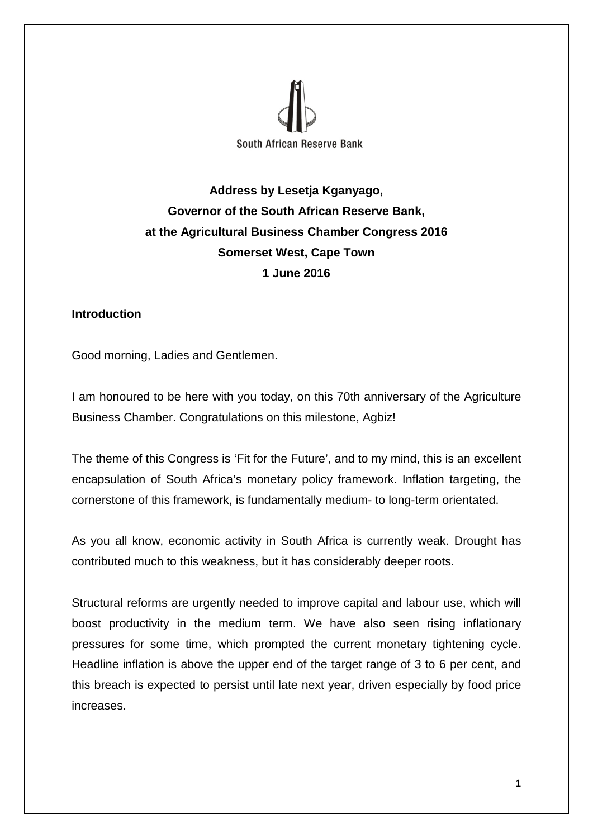

**Address by Lesetja Kganyago, Governor of the South African Reserve Bank, at the Agricultural Business Chamber Congress 2016 Somerset West, Cape Town 1 June 2016**

### **Introduction**

Good morning, Ladies and Gentlemen.

I am honoured to be here with you today, on this 70th anniversary of the Agriculture Business Chamber. Congratulations on this milestone, Agbiz!

The theme of this Congress is 'Fit for the Future', and to my mind, this is an excellent encapsulation of South Africa's monetary policy framework. Inflation targeting, the cornerstone of this framework, is fundamentally medium- to long-term orientated.

As you all know, economic activity in South Africa is currently weak. Drought has contributed much to this weakness, but it has considerably deeper roots.

Structural reforms are urgently needed to improve capital and labour use, which will boost productivity in the medium term. We have also seen rising inflationary pressures for some time, which prompted the current monetary tightening cycle. Headline inflation is above the upper end of the target range of 3 to 6 per cent, and this breach is expected to persist until late next year, driven especially by food price increases.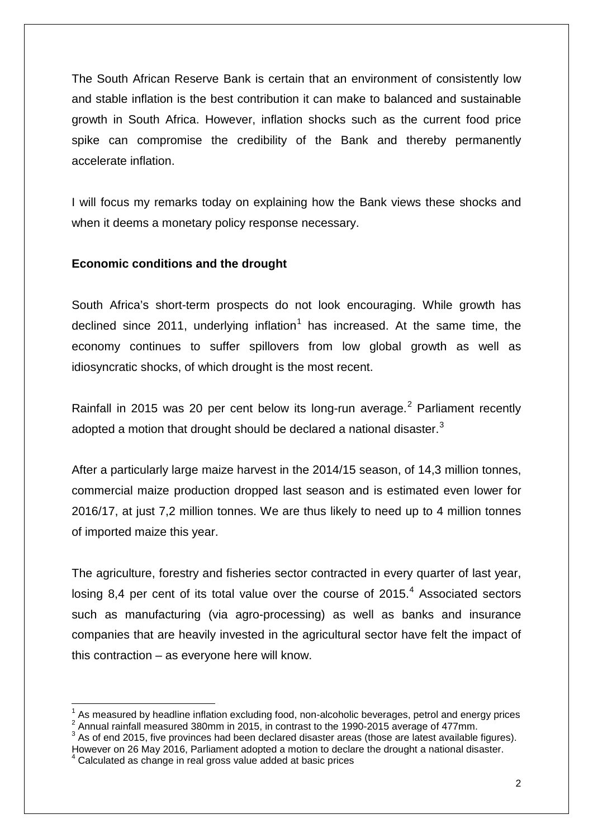The South African Reserve Bank is certain that an environment of consistently low and stable inflation is the best contribution it can make to balanced and sustainable growth in South Africa. However, inflation shocks such as the current food price spike can compromise the credibility of the Bank and thereby permanently accelerate inflation.

I will focus my remarks today on explaining how the Bank views these shocks and when it deems a monetary policy response necessary.

## **Economic conditions and the drought**

South Africa's short-term prospects do not look encouraging. While growth has declined since 20[1](#page-1-0)1, underlying inflation<sup>1</sup> has increased. At the same time, the economy continues to suffer spillovers from low global growth as well as idiosyncratic shocks, of which drought is the most recent.

Rainfall in [2](#page-1-1)015 was 20 per cent below its long-run average.<sup>2</sup> Parliament recently adopted a motion that drought should be declared a national disaster.<sup>[3](#page-1-2)</sup>

After a particularly large maize harvest in the 2014/15 season, of 14,3 million tonnes, commercial maize production dropped last season and is estimated even lower for 2016/17, at just 7,2 million tonnes. We are thus likely to need up to 4 million tonnes of imported maize this year.

The agriculture, forestry and fisheries sector contracted in every quarter of last year, losing 8.[4](#page-1-3) per cent of its total value over the course of  $2015<sup>4</sup>$  Associated sectors such as manufacturing (via agro-processing) as well as banks and insurance companies that are heavily invested in the agricultural sector have felt the impact of this contraction – as everyone here will know.

<span id="page-1-2"></span>However on 26 May 2016, Parliament adopted a motion to declare the drought a national disaster.

 $\overline{a}$ 

<span id="page-1-0"></span><sup>&</sup>lt;sup>1</sup> As measured by headline inflation excluding food, non-alcoholic beverages, petrol and energy prices  $^{2}$  Annual rainfall measured 380mm in 2015, in contrast to the 1990-2015 average of 477mm.<br><sup>3</sup> As of end 2015, five

<span id="page-1-1"></span>

<span id="page-1-3"></span>Calculated as change in real gross value added at basic prices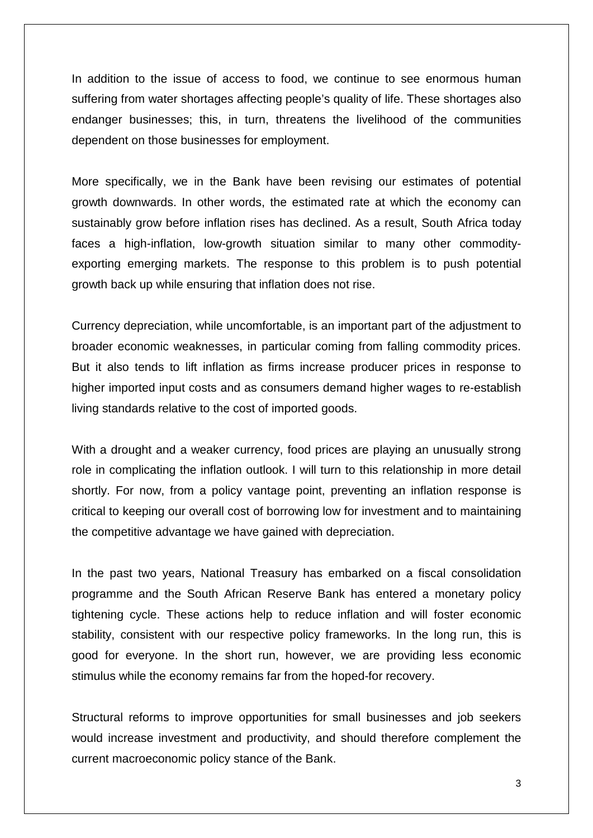In addition to the issue of access to food, we continue to see enormous human suffering from water shortages affecting people's quality of life. These shortages also endanger businesses; this, in turn, threatens the livelihood of the communities dependent on those businesses for employment.

More specifically, we in the Bank have been revising our estimates of potential growth downwards. In other words, the estimated rate at which the economy can sustainably grow before inflation rises has declined. As a result, South Africa today faces a high-inflation, low-growth situation similar to many other commodityexporting emerging markets. The response to this problem is to push potential growth back up while ensuring that inflation does not rise.

Currency depreciation, while uncomfortable, is an important part of the adjustment to broader economic weaknesses, in particular coming from falling commodity prices. But it also tends to lift inflation as firms increase producer prices in response to higher imported input costs and as consumers demand higher wages to re-establish living standards relative to the cost of imported goods.

With a drought and a weaker currency, food prices are playing an unusually strong role in complicating the inflation outlook. I will turn to this relationship in more detail shortly. For now, from a policy vantage point, preventing an inflation response is critical to keeping our overall cost of borrowing low for investment and to maintaining the competitive advantage we have gained with depreciation.

In the past two years, National Treasury has embarked on a fiscal consolidation programme and the South African Reserve Bank has entered a monetary policy tightening cycle. These actions help to reduce inflation and will foster economic stability, consistent with our respective policy frameworks. In the long run, this is good for everyone. In the short run, however, we are providing less economic stimulus while the economy remains far from the hoped-for recovery.

Structural reforms to improve opportunities for small businesses and job seekers would increase investment and productivity, and should therefore complement the current macroeconomic policy stance of the Bank.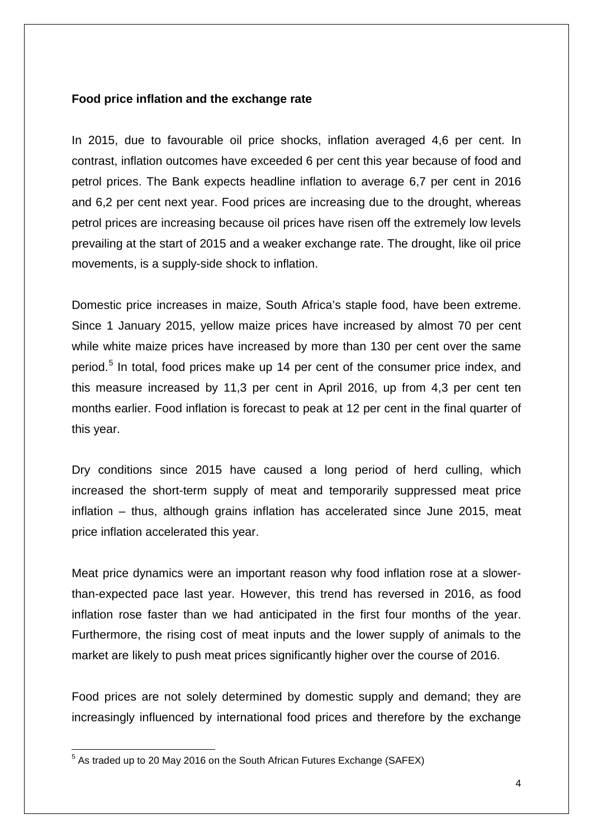### **Food price inflation and the exchange rate**

In 2015, due to favourable oil price shocks, inflation averaged 4,6 per cent. In contrast, inflation outcomes have exceeded 6 per cent this year because of food and petrol prices. The Bank expects headline inflation to average 6,7 per cent in 2016 and 6,2 per cent next year. Food prices are increasing due to the drought, whereas petrol prices are increasing because oil prices have risen off the extremely low levels prevailing at the start of 2015 and a weaker exchange rate. The drought, like oil price movements, is a supply-side shock to inflation.

Domestic price increases in maize, South Africa's staple food, have been extreme. Since 1 January 2015, yellow maize prices have increased by almost 70 per cent while white maize prices have increased by more than 130 per cent over the same period.[5](#page-3-0) In total, food prices make up 14 per cent of the consumer price index, and this measure increased by 11,3 per cent in April 2016, up from 4,3 per cent ten months earlier. Food inflation is forecast to peak at 12 per cent in the final quarter of this year.

Dry conditions since 2015 have caused a long period of herd culling, which increased the short-term supply of meat and temporarily suppressed meat price inflation – thus, although grains inflation has accelerated since June 2015, meat price inflation accelerated this year.

Meat price dynamics were an important reason why food inflation rose at a slowerthan-expected pace last year. However, this trend has reversed in 2016, as food inflation rose faster than we had anticipated in the first four months of the year. Furthermore, the rising cost of meat inputs and the lower supply of animals to the market are likely to push meat prices significantly higher over the course of 2016.

Food prices are not solely determined by domestic supply and demand; they are increasingly influenced by international food prices and therefore by the exchange

<span id="page-3-0"></span> $^5$  As traded up to 20 May 2016 on the South African Futures Exchange (SAFEX) 1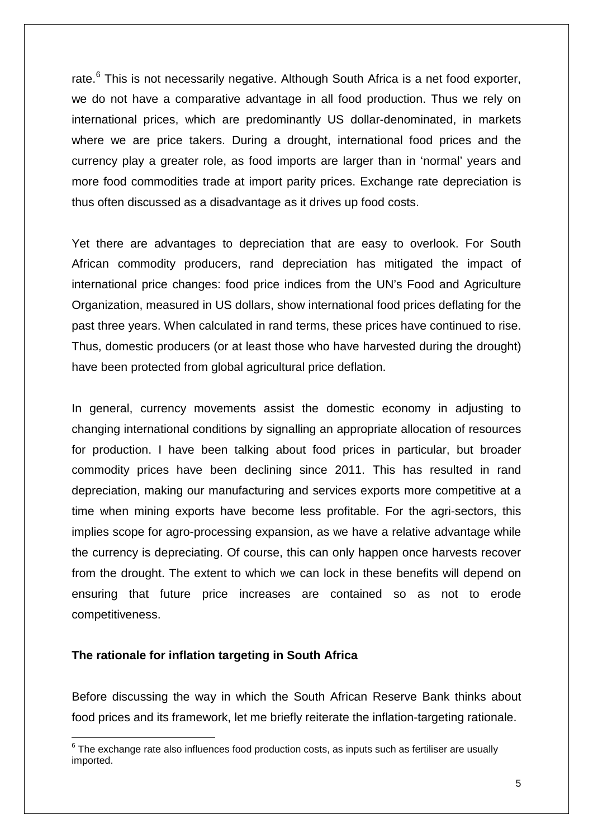rate.<sup>[6](#page-4-0)</sup> This is not necessarily negative. Although South Africa is a net food exporter, we do not have a comparative advantage in all food production. Thus we rely on international prices, which are predominantly US dollar-denominated, in markets where we are price takers. During a drought, international food prices and the currency play a greater role, as food imports are larger than in 'normal' years and more food commodities trade at import parity prices. Exchange rate depreciation is thus often discussed as a disadvantage as it drives up food costs.

Yet there are advantages to depreciation that are easy to overlook. For South African commodity producers, rand depreciation has mitigated the impact of international price changes: food price indices from the UN's Food and Agriculture Organization, measured in US dollars, show international food prices deflating for the past three years. When calculated in rand terms, these prices have continued to rise. Thus, domestic producers (or at least those who have harvested during the drought) have been protected from global agricultural price deflation.

In general, currency movements assist the domestic economy in adjusting to changing international conditions by signalling an appropriate allocation of resources for production. I have been talking about food prices in particular, but broader commodity prices have been declining since 2011. This has resulted in rand depreciation, making our manufacturing and services exports more competitive at a time when mining exports have become less profitable. For the agri-sectors, this implies scope for agro-processing expansion, as we have a relative advantage while the currency is depreciating. Of course, this can only happen once harvests recover from the drought. The extent to which we can lock in these benefits will depend on ensuring that future price increases are contained so as not to erode competitiveness.

#### **The rationale for inflation targeting in South Africa**

 $\overline{a}$ 

Before discussing the way in which the South African Reserve Bank thinks about food prices and its framework, let me briefly reiterate the inflation-targeting rationale.

<span id="page-4-0"></span> $6$  The exchange rate also influences food production costs, as inputs such as fertiliser are usually imported.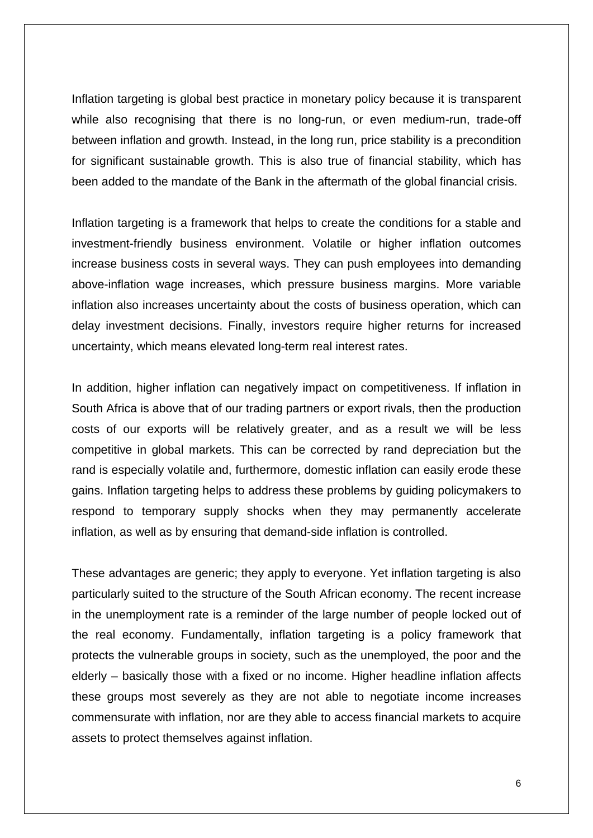Inflation targeting is global best practice in monetary policy because it is transparent while also recognising that there is no long-run, or even medium-run, trade-off between inflation and growth. Instead, in the long run, price stability is a precondition for significant sustainable growth. This is also true of financial stability, which has been added to the mandate of the Bank in the aftermath of the global financial crisis.

Inflation targeting is a framework that helps to create the conditions for a stable and investment-friendly business environment. Volatile or higher inflation outcomes increase business costs in several ways. They can push employees into demanding above-inflation wage increases, which pressure business margins. More variable inflation also increases uncertainty about the costs of business operation, which can delay investment decisions. Finally, investors require higher returns for increased uncertainty, which means elevated long-term real interest rates.

In addition, higher inflation can negatively impact on competitiveness. If inflation in South Africa is above that of our trading partners or export rivals, then the production costs of our exports will be relatively greater, and as a result we will be less competitive in global markets. This can be corrected by rand depreciation but the rand is especially volatile and, furthermore, domestic inflation can easily erode these gains. Inflation targeting helps to address these problems by guiding policymakers to respond to temporary supply shocks when they may permanently accelerate inflation, as well as by ensuring that demand-side inflation is controlled.

These advantages are generic; they apply to everyone. Yet inflation targeting is also particularly suited to the structure of the South African economy. The recent increase in the unemployment rate is a reminder of the large number of people locked out of the real economy. Fundamentally, inflation targeting is a policy framework that protects the vulnerable groups in society, such as the unemployed, the poor and the elderly – basically those with a fixed or no income. Higher headline inflation affects these groups most severely as they are not able to negotiate income increases commensurate with inflation, nor are they able to access financial markets to acquire assets to protect themselves against inflation.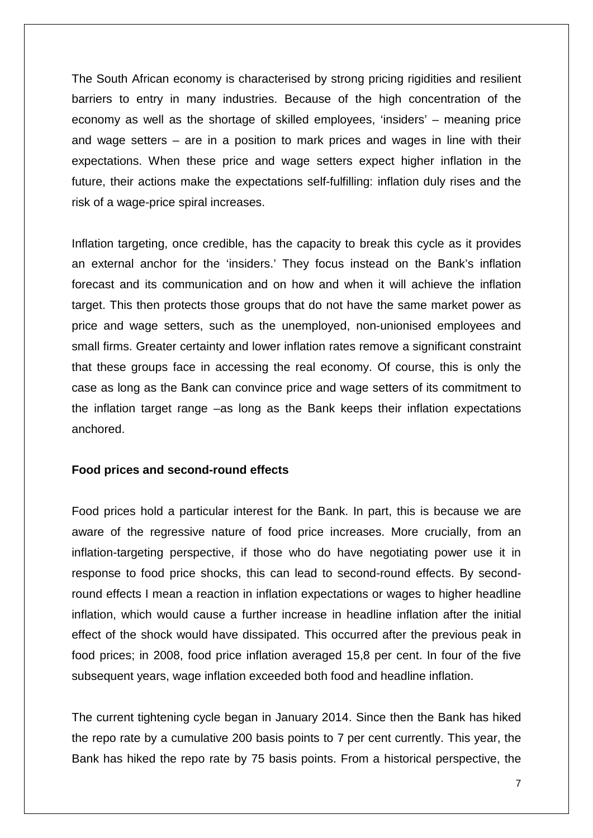The South African economy is characterised by strong pricing rigidities and resilient barriers to entry in many industries. Because of the high concentration of the economy as well as the shortage of skilled employees, 'insiders' – meaning price and wage setters – are in a position to mark prices and wages in line with their expectations. When these price and wage setters expect higher inflation in the future, their actions make the expectations self-fulfilling: inflation duly rises and the risk of a wage-price spiral increases.

Inflation targeting, once credible, has the capacity to break this cycle as it provides an external anchor for the 'insiders.' They focus instead on the Bank's inflation forecast and its communication and on how and when it will achieve the inflation target. This then protects those groups that do not have the same market power as price and wage setters, such as the unemployed, non-unionised employees and small firms. Greater certainty and lower inflation rates remove a significant constraint that these groups face in accessing the real economy. Of course, this is only the case as long as the Bank can convince price and wage setters of its commitment to the inflation target range –as long as the Bank keeps their inflation expectations anchored.

### **Food prices and second-round effects**

Food prices hold a particular interest for the Bank. In part, this is because we are aware of the regressive nature of food price increases. More crucially, from an inflation-targeting perspective, if those who do have negotiating power use it in response to food price shocks, this can lead to second-round effects. By secondround effects I mean a reaction in inflation expectations or wages to higher headline inflation, which would cause a further increase in headline inflation after the initial effect of the shock would have dissipated. This occurred after the previous peak in food prices; in 2008, food price inflation averaged 15,8 per cent. In four of the five subsequent years, wage inflation exceeded both food and headline inflation.

The current tightening cycle began in January 2014. Since then the Bank has hiked the repo rate by a cumulative 200 basis points to 7 per cent currently. This year, the Bank has hiked the repo rate by 75 basis points. From a historical perspective, the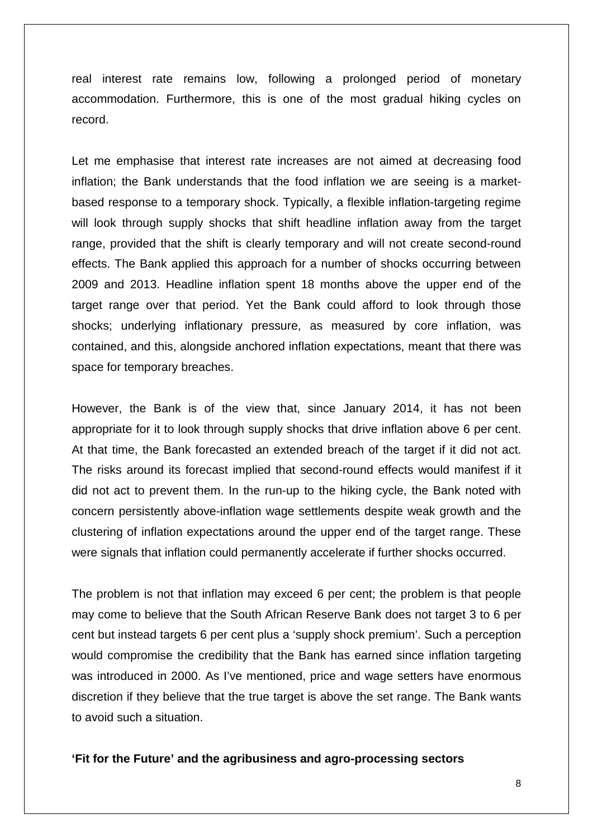real interest rate remains low, following a prolonged period of monetary accommodation. Furthermore, this is one of the most gradual hiking cycles on record.

Let me emphasise that interest rate increases are not aimed at decreasing food inflation; the Bank understands that the food inflation we are seeing is a marketbased response to a temporary shock. Typically, a flexible inflation-targeting regime will look through supply shocks that shift headline inflation away from the target range, provided that the shift is clearly temporary and will not create second-round effects. The Bank applied this approach for a number of shocks occurring between 2009 and 2013. Headline inflation spent 18 months above the upper end of the target range over that period. Yet the Bank could afford to look through those shocks; underlying inflationary pressure, as measured by core inflation, was contained, and this, alongside anchored inflation expectations, meant that there was space for temporary breaches.

However, the Bank is of the view that, since January 2014, it has not been appropriate for it to look through supply shocks that drive inflation above 6 per cent. At that time, the Bank forecasted an extended breach of the target if it did not act. The risks around its forecast implied that second-round effects would manifest if it did not act to prevent them. In the run-up to the hiking cycle, the Bank noted with concern persistently above-inflation wage settlements despite weak growth and the clustering of inflation expectations around the upper end of the target range. These were signals that inflation could permanently accelerate if further shocks occurred.

The problem is not that inflation may exceed 6 per cent; the problem is that people may come to believe that the South African Reserve Bank does not target 3 to 6 per cent but instead targets 6 per cent plus a 'supply shock premium'. Such a perception would compromise the credibility that the Bank has earned since inflation targeting was introduced in 2000. As I've mentioned, price and wage setters have enormous discretion if they believe that the true target is above the set range. The Bank wants to avoid such a situation.

**'Fit for the Future' and the agribusiness and agro-processing sectors**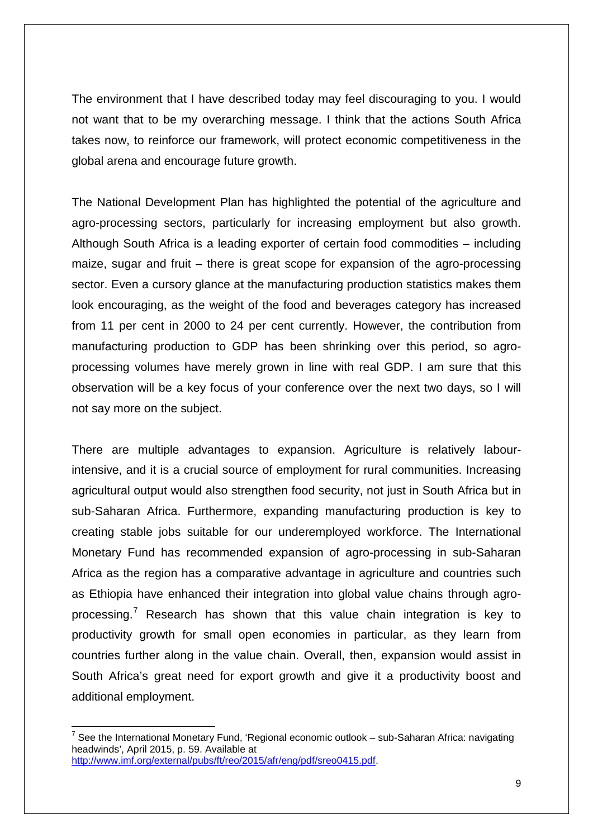The environment that I have described today may feel discouraging to you. I would not want that to be my overarching message. I think that the actions South Africa takes now, to reinforce our framework, will protect economic competitiveness in the global arena and encourage future growth.

The National Development Plan has highlighted the potential of the agriculture and agro-processing sectors, particularly for increasing employment but also growth. Although South Africa is a leading exporter of certain food commodities – including maize, sugar and fruit – there is great scope for expansion of the agro-processing sector. Even a cursory glance at the manufacturing production statistics makes them look encouraging, as the weight of the food and beverages category has increased from 11 per cent in 2000 to 24 per cent currently. However, the contribution from manufacturing production to GDP has been shrinking over this period, so agroprocessing volumes have merely grown in line with real GDP. I am sure that this observation will be a key focus of your conference over the next two days, so I will not say more on the subject.

There are multiple advantages to expansion. Agriculture is relatively labourintensive, and it is a crucial source of employment for rural communities. Increasing agricultural output would also strengthen food security, not just in South Africa but in sub-Saharan Africa. Furthermore, expanding manufacturing production is key to creating stable jobs suitable for our underemployed workforce. The International Monetary Fund has recommended expansion of agro-processing in sub-Saharan Africa as the region has a comparative advantage in agriculture and countries such as Ethiopia have enhanced their integration into global value chains through agro-processing.<sup>[7](#page-8-0)</sup> Research has shown that this value chain integration is key to productivity growth for small open economies in particular, as they learn from countries further along in the value chain. Overall, then, expansion would assist in South Africa's great need for export growth and give it a productivity boost and additional employment.

**.** 

<span id="page-8-0"></span> $7$  See the International Monetary Fund, 'Regional economic outlook – sub-Saharan Africa: navigating headwinds', April 2015, p. 59. Available at [http://www.imf.org/external/pubs/ft/reo/2015/afr/eng/pdf/sreo0415.pdf.](http://www.imf.org/external/pubs/ft/reo/2015/afr/eng/pdf/sreo0415.pdf)